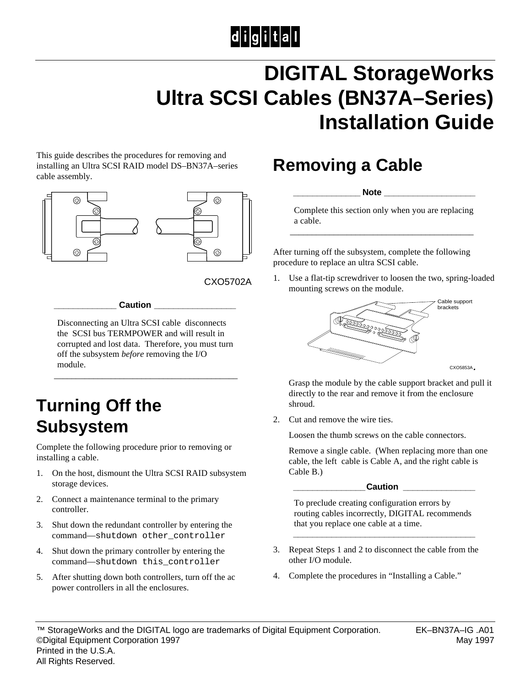# $|d|i|g|i|t|a|I|$

# **DIGITAL StorageWorks Ultra SCSI Cables (BN37A–Series) Installation Guide**

This guide describes the procedures for removing and installing an Ultra SCSI RAID model DS–BN37A–series cable assembly.



CXO5702A

**\_\_\_\_\_\_\_\_\_\_\_\_\_ Caution \_\_\_\_\_\_\_\_\_\_\_\_\_\_\_\_\_**

Disconnecting an Ultra SCSI cable disconnects the SCSI bus TERMPOWER and will result in corrupted and lost data. Therefore, you must turn off the subsystem *before* removing the I/O module.

\_\_\_\_\_\_\_\_\_\_\_\_\_\_\_\_\_\_\_\_\_\_\_\_\_\_\_\_\_\_\_\_\_\_\_\_\_\_\_\_\_\_

#### **Turning Off the Subsystem**

Complete the following procedure prior to removing or installing a cable.

- 1. On the host, dismount the Ultra SCSI RAID subsystem storage devices.
- 2. Connect a maintenance terminal to the primary controller.
- 3. Shut down the redundant controller by entering the command—shutdown other\_controller
- 4. Shut down the primary controller by entering the command—shutdown this\_controller
- 5. After shutting down both controllers, turn off the ac power controllers in all the enclosures.

#### **Removing a Cable**

 $Note$ 

Complete this section only when you are replacing a cable. \_\_\_\_\_\_\_\_\_\_\_\_\_\_\_\_\_\_\_\_\_\_\_\_\_\_\_\_\_\_\_\_\_\_\_\_\_\_\_\_\_\_

After turning off the subsystem, complete the following procedure to replace an ultra SCSI cable.

1. Use a flat-tip screwdriver to loosen the two, spring-loaded mounting screws on the module.



 Grasp the module by the cable support bracket and pull it directly to the rear and remove it from the enclosure shroud.

2. Cut and remove the wire ties.

Loosen the thumb screws on the cable connectors.

 Remove a single cable. (When replacing more than one cable, the left cable is Cable A, and the right cable is Cable B.)

 **\_\_\_\_\_\_\_\_\_\_\_\_\_\_\_Caution \_\_\_\_\_\_\_\_\_\_\_\_\_\_\_**

 To preclude creating configuration errors by routing cables incorrectly, DIGITAL recommends that you replace one cable at a time.

3. Repeat Steps 1 and 2 to disconnect the cable from the other I/O module.

 **\_\_\_\_\_\_\_\_\_\_\_\_\_\_\_\_\_\_\_\_\_\_\_\_\_\_\_\_\_\_\_\_\_\_\_\_\_\_**

4. Complete the procedures in "Installing a Cable."